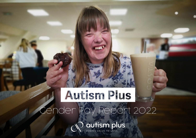# Autism Plus Gender Pay Report 2022

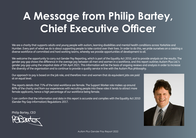# **A Message from Philip Bartey, Chief Executive Officer**

We are a charity that supports adults and young people with autism, learning disabilities and mental health conditions across Yorkshire and Humber. Every part of what we do is about supporting people to take control over their lives. In order to do this, we pride ourselves on a creating a diverse workforce of committed and hard working teams, whereby we provide opportunities of development to all.

We welcome the opportunity to carry out Gender Pay Reporting, which is part of the Equality Act 2010, and to provide analysis on the results. The gender pay gap shows the difference in the average pay between all men and women in a workforce, and this report outlines Autism Plus Ltd.'s gender pay gap using the snapshot date of 5th April 2021. This information will be the basis of ongoing reviews and analysis in order to increase the diversity of the organisation and to continue to provide a quality service in line with the Autism Plus philosophy.

Our approach to pay is based on the job role, and therefore men and women that do equivalent jobs are paid at an equal level.

The reports details that 71% of the total workforce are female. The Support Worker role makes up around 80% of the charity and from our experiences with recruiting people into these roles it tends to attract more female applicants, hence a high percentage of our workforce being female.

I can confirm that the information and data in this report is accurate and complies with the Equality Act 2010 (Gender Pay Gap information) Regulations 2017.

Philip Bartey, CEO



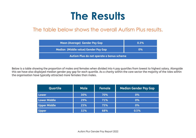### **The Results**

#### The table below shows the overall Autism Plus results.

| <b>Mean (Average) Gender Pay Gap</b>      | $0.3\%$ |  |  |
|-------------------------------------------|---------|--|--|
| Median (Middle value) Gender Pay Gap      | $0\%$   |  |  |
| Autism Plus do not operate a bonus scheme |         |  |  |

Below is a table showing the proportion of males and females when divided into 4 pay quartiles from lowest to highest salary. Alongside this we have also displayed median gender pay gap for each quartile. As a charity within the care sector the majority of the roles within the organisation have typically attracted more females than males.

| <b>Quartile</b>     | Male <sup>1</sup> | Female | <b>Median Gender Pay Gap</b> |
|---------------------|-------------------|--------|------------------------------|
| <b>Lower</b>        | 30%               | 70%    | 0%                           |
| <b>Lower Middle</b> | 29%               | 71%    | 0%                           |
| <b>Upper Middle</b> | 25%               | 75%    | 0%                           |
| <b>Upper</b>        | 32%               | 68%    | 0.5%                         |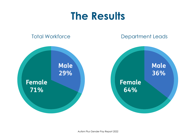### **The Results**